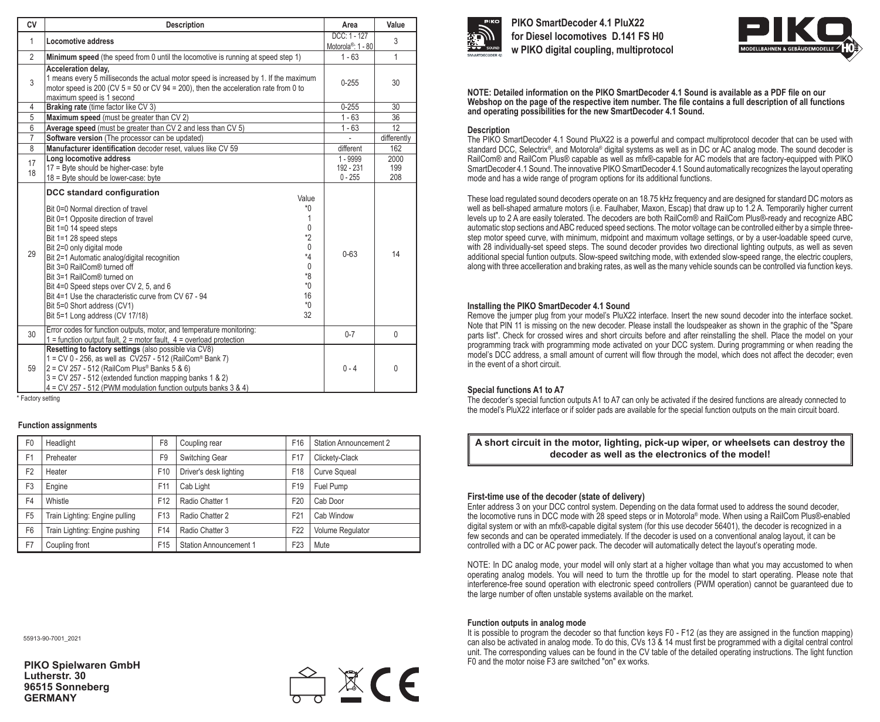|                                                                                                                                                                                                                                                                                                                                                                                                                                                                                                                                                                                                      | $DCC: 1 - 127$                                                                          |                    |
|------------------------------------------------------------------------------------------------------------------------------------------------------------------------------------------------------------------------------------------------------------------------------------------------------------------------------------------------------------------------------------------------------------------------------------------------------------------------------------------------------------------------------------------------------------------------------------------------------|-----------------------------------------------------------------------------------------|--------------------|
| Locomotive address                                                                                                                                                                                                                                                                                                                                                                                                                                                                                                                                                                                   | Motorola <sup>®</sup> : 1 - 80                                                          | 3                  |
| Minimum speed (the speed from 0 until the locomotive is running at speed step 1)                                                                                                                                                                                                                                                                                                                                                                                                                                                                                                                     | $1 - 63$                                                                                | $\mathbf{1}$       |
| Acceleration delay.<br>1 means every 5 milliseconds the actual motor speed is increased by 1. If the maximum<br>motor speed is 200 (CV $5 = 50$ or CV $94 = 200$ ), then the acceleration rate from 0 to<br>maximum speed is 1 second                                                                                                                                                                                                                                                                                                                                                                | $0 - 255$                                                                               | 30                 |
| Braking rate (time factor like CV 3)                                                                                                                                                                                                                                                                                                                                                                                                                                                                                                                                                                 | $0 - 255$                                                                               | 30                 |
| Maximum speed (must be greater than CV 2)                                                                                                                                                                                                                                                                                                                                                                                                                                                                                                                                                            | $1 - 63$                                                                                | 36                 |
| Average speed (must be greater than CV 2 and less than CV 5)                                                                                                                                                                                                                                                                                                                                                                                                                                                                                                                                         | $1 - 63$                                                                                | 12                 |
| Software version (The processor can be updated)                                                                                                                                                                                                                                                                                                                                                                                                                                                                                                                                                      |                                                                                         | differently        |
| Manufacturer identification decoder reset, values like CV 59                                                                                                                                                                                                                                                                                                                                                                                                                                                                                                                                         | different                                                                               | 162                |
| Long locomotive address<br>17 = Byte should be higher-case: byte<br>18 = Byte should be lower-case: byte                                                                                                                                                                                                                                                                                                                                                                                                                                                                                             | 1 - 9999<br>192 - 231<br>$0 - 255$                                                      | 2000<br>199<br>208 |
| DCC standard configuration<br>Value<br>*0<br>Bit 0=0 Normal direction of travel<br>1<br>Bit 0=1 Opposite direction of travel<br>$\mathbf{0}$<br>Bit 1=0 14 speed steps<br>$*2$<br>Bit 1=1 28 speed steps<br>$\mathbf{0}$<br>Bit 2=0 only digital mode<br>$*_{4}$<br>Bit 2=1 Automatic analog/digital recognition<br>$\mathbf{0}$<br>Bit 3=0 RailCom® turned off<br>*8<br>Bit 3=1 RailCom® turned on<br>$*0$<br>Bit 4=0 Speed steps over CV 2, 5, and 6<br>16<br>Bit 4=1 Use the characteristic curve from CV 67 - 94<br>$*0$<br>Bit 5=0 Short address (CV1)<br>32<br>Bit 5=1 Long address (CV 17/18) | $0 - 63$                                                                                | 14                 |
| 1 = function output fault, $2$ = motor fault, $4$ = overload protection                                                                                                                                                                                                                                                                                                                                                                                                                                                                                                                              | $0 - 7$                                                                                 | $\mathbf{0}$       |
| Resetting to factory settings (also possible via CV8)<br>1 = CV 0 - 256, as well as CV257 - 512 (RailCom® Bank 7)<br>2 = CV 257 - 512 (RailCom Plus® Banks 5 & 6)<br>$3 = CV 257 - 512$ (extended function mapping banks 1 & 2)<br>4 = CV 257 - 512 (PWM modulation function outputs banks 3 & 4)                                                                                                                                                                                                                                                                                                    | $0 - 4$                                                                                 | 0                  |
|                                                                                                                                                                                                                                                                                                                                                                                                                                                                                                                                                                                                      | Error codes for function outputs, motor, and temperature monitoring:<br>Factory setting |                    |

\* Factory setting

## **Function assignments**

| F <sub>0</sub> | Headlight                      | F <sub>8</sub>  | Coupling rear                 | F <sub>16</sub> | <b>Station Announcement 2</b> |
|----------------|--------------------------------|-----------------|-------------------------------|-----------------|-------------------------------|
| F <sub>1</sub> | Preheater                      | F <sub>9</sub>  | Switching Gear                | F17             | Clickety-Clack                |
| F <sub>2</sub> | Heater                         | F <sub>10</sub> | Driver's desk lighting        | F18             | <b>Curve Squeal</b>           |
| F <sub>3</sub> | Engine                         | F11             | Cab Light                     | F19             | Fuel Pump                     |
| F4             | Whistle                        | F <sub>12</sub> | Radio Chatter 1               | F <sub>20</sub> | Cab Door                      |
| F <sub>5</sub> | Train Lighting: Engine pulling | F <sub>13</sub> | Radio Chatter 2               | F <sub>21</sub> | Cab Window                    |
| F <sub>6</sub> | Train Lighting: Engine pushing | F14             | Radio Chatter 3               | F <sub>22</sub> | Volume Regulator              |
| F7             | Coupling front                 | F <sub>15</sub> | <b>Station Announcement 1</b> | F <sub>23</sub> | Mute                          |

55913-90-7001\_2021

**PIKO Spielwaren GmbH Lutherstr. 30 96515 Sonneberg GERMANY**





**PIKO SmartDecoder 4.1 PluX22 for Diesel locomotives D.141 FS H0 w PIKO digital coupling, multiprotocol**



**NOTE: Detailed information on the PIKO SmartDecoder 4.1 Sound is available as a PDF file on our Webshop on the page of the respective item number. The file contains a full description of all functions and operating possibilities for the new SmartDecoder 4.1 Sound.** 

## **Description**

The PIKO SmartDecoder 4.1 Sound PluX22 is a powerful and compact multiprotocol decoder that can be used with standard DCC, Selectrix®, and Motorola® digital systems as well as in DC or AC analog mode. The sound decoder is RailCom® and RailCom Plus® capable as well as mfx®-capable for AC models that are factory-equipped with PIKO SmartDecoder 4.1 Sound. The innovative PIKO SmartDecoder 4.1 Sound automatically recognizes the layout operating mode and has a wide range of program options for its additional functions.

These load regulated sound decoders operate on an 18.75 kHz frequency and are designed for standard DC motors as well as bell-shaped armature motors (i.e. Faulhaber, Maxon, Escap) that draw up to 1.2 A. Temporarily higher current levels up to 2 A are easily tolerated. The decoders are both RailCom® and RailCom Plus®-ready and recognize ABC automatic stop sections and ABC reduced speed sections. The motor voltage can be controlled either by a simple threestep motor speed curve, with minimum, midpoint and maximum voltage settings, or by a user-loadable speed curve, with 28 individually-set speed steps. The sound decoder provides two directional lighting outputs, as well as seven additional special funtion outputs. Slow-speed switching mode, with extended slow-speed range, the electric couplers, along with three accelleration and braking rates, as well as the many vehicle sounds can be controlled via function keys.

## **Installing the PIKO SmartDecoder 4.1 Sound**

Remove the jumper plug from your model's PluX22 interface. Insert the new sound decoder into the interface socket. Note that PIN 11 is missing on the new decoder. Please install the loudspeaker as shown in the graphic of the "Spare parts list". Check for crossed wires and short circuits before and after reinstalling the shell. Place the model on your programming track with programming mode activated on your DCC system. During programming or when reading the model's DCC address, a small amount of current will flow through the model, which does not affect the decoder; even in the event of a short circuit.

## **Special functions A1 to A7**

The decoder's special function outputs A1 to A7 can only be activated if the desired functions are already connected to the model's PluX22 interface or if solder pads are available for the special function outputs on the main circuit board.

**A short circuit in the motor, lighting, pick-up wiper, or wheelsets can destroy the decoder as well as the electronics of the model!** 

# **First-time use of the decoder (state of delivery)**

Enter address 3 on your DCC control system. Depending on the data format used to address the sound decoder, the locomotive runs in DCC mode with 28 speed steps or in Motorola® mode. When using a RailCom Plus®-enabled digital system or with an mfx®-capable digital system (for this use decoder 56401), the decoder is recognized in a few seconds and can be operated immediately. If the decoder is used on a conventional analog layout, it can be controlled with a DC or AC power pack. The decoder will automatically detect the layout's operating mode.

NOTE: In DC analog mode, your model will only start at a higher voltage than what you may accustomed to when operating analog models. You will need to turn the throttle up for the model to start operating. Please note that interference-free sound operation with electronic speed controllers (PWM operation) cannot be guaranteed due to the large number of often unstable systems available on the market.

## **Function outputs in analog mode**

It is possible to program the decoder so that function keys F0 - F12 (as they are assigned in the function mapping) can also be activated in analog mode. To do this, CVs 13 & 14 must first be programmed with a digital central control unit. The corresponding values can be found in the CV table of the detailed operating instructions. The light function F0 and the motor noise F3 are switched "on" ex works.